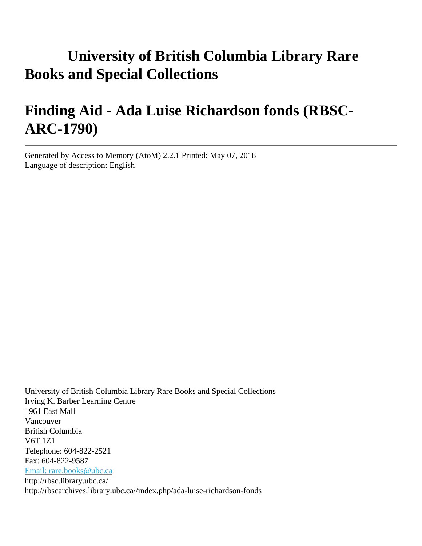# **University of British Columbia Library Rare Books and Special Collections**

# **Finding Aid - Ada Luise Richardson fonds (RBSC-ARC-1790)**

Generated by Access to Memory (AtoM) 2.2.1 Printed: May 07, 2018 Language of description: English

University of British Columbia Library Rare Books and Special Collections Irving K. Barber Learning Centre 1961 East Mall Vancouver British Columbia V6T 1Z1 Telephone: 604-822-2521 Fax: 604-822-9587 [Email: rare.books@ubc.ca](mailto:Email: rare.books@ubc.ca) http://rbsc.library.ubc.ca/ http://rbscarchives.library.ubc.ca//index.php/ada-luise-richardson-fonds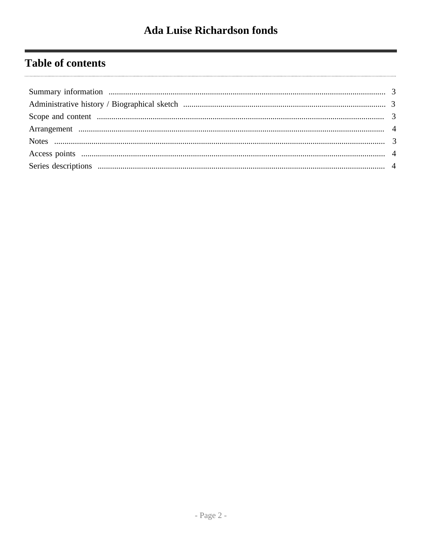# **Table of contents**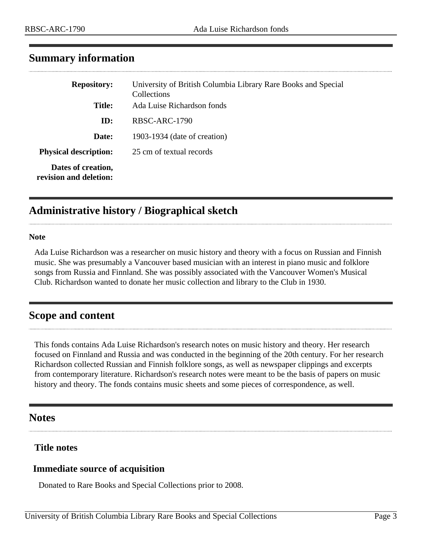| <b>Repository:</b>                           | University of British Columbia Library Rare Books and Special<br>Collections |  |
|----------------------------------------------|------------------------------------------------------------------------------|--|
| <b>Title:</b>                                | Ada Luise Richardson fonds                                                   |  |
| ID:                                          | RBSC-ARC-1790                                                                |  |
| Date:                                        | 1903-1934 (date of creation)                                                 |  |
| <b>Physical description:</b>                 | 25 cm of textual records                                                     |  |
| Dates of creation,<br>revision and deletion: |                                                                              |  |

## <span id="page-2-0"></span>**Summary information**

## <span id="page-2-1"></span>**Administrative history / Biographical sketch**

#### **Note**

Ada Luise Richardson was a researcher on music history and theory with a focus on Russian and Finnish music. She was presumably a Vancouver based musician with an interest in piano music and folklore songs from Russia and Finnland. She was possibly associated with the Vancouver Women's Musical Club. Richardson wanted to donate her music collection and library to the Club in 1930.

## <span id="page-2-2"></span>**Scope and content**

This fonds contains Ada Luise Richardson's research notes on music history and theory. Her research focused on Finnland and Russia and was conducted in the beginning of the 20th century. For her research Richardson collected Russian and Finnish folklore songs, as well as newspaper clippings and excerpts from contemporary literature. Richardson's research notes were meant to be the basis of papers on music history and theory. The fonds contains music sheets and some pieces of correspondence, as well.

## <span id="page-2-3"></span>**Notes**

### **Title notes**

### **Immediate source of acquisition**

Donated to Rare Books and Special Collections prior to 2008.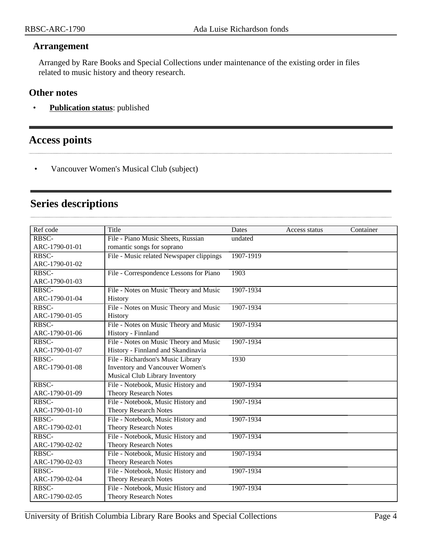#### <span id="page-3-0"></span>**Arrangement**

Arranged by Rare Books and Special Collections under maintenance of the existing order in files related to music history and theory research.

#### **Other notes**

• **Publication status**: published

# <span id="page-3-1"></span>**Access points**

• Vancouver Women's Musical Club (subject)

## <span id="page-3-2"></span>**Series descriptions**

| Ref code       | Title                                    | Dates     | Access status | Container |
|----------------|------------------------------------------|-----------|---------------|-----------|
| RBSC-          | File - Piano Music Sheets, Russian       | undated   |               |           |
| ARC-1790-01-01 | romantic songs for soprano               |           |               |           |
| RBSC-          | File - Music related Newspaper clippings | 1907-1919 |               |           |
| ARC-1790-01-02 |                                          |           |               |           |
| RBSC-          | File - Correspondence Lessons for Piano  | 1903      |               |           |
| ARC-1790-01-03 |                                          |           |               |           |
| RBSC-          | File - Notes on Music Theory and Music   | 1907-1934 |               |           |
| ARC-1790-01-04 | History                                  |           |               |           |
| RBSC-          | File - Notes on Music Theory and Music   | 1907-1934 |               |           |
| ARC-1790-01-05 | History                                  |           |               |           |
| RBSC-          | File - Notes on Music Theory and Music   | 1907-1934 |               |           |
| ARC-1790-01-06 | History - Finnland                       |           |               |           |
| RBSC-          | File - Notes on Music Theory and Music   | 1907-1934 |               |           |
| ARC-1790-01-07 | History - Finnland and Skandinavia       |           |               |           |
| RBSC-          | File - Richardson's Music Library        | 1930      |               |           |
| ARC-1790-01-08 | Inventory and Vancouver Women's          |           |               |           |
|                | Musical Club Library Inventory           |           |               |           |
| RBSC-          | File - Notebook, Music History and       | 1907-1934 |               |           |
| ARC-1790-01-09 | <b>Theory Research Notes</b>             |           |               |           |
| RBSC-          | File - Notebook, Music History and       | 1907-1934 |               |           |
| ARC-1790-01-10 | <b>Theory Research Notes</b>             |           |               |           |
| RBSC-          | File - Notebook, Music History and       | 1907-1934 |               |           |
| ARC-1790-02-01 | <b>Theory Research Notes</b>             |           |               |           |
| RBSC-          | File - Notebook, Music History and       | 1907-1934 |               |           |
| ARC-1790-02-02 | <b>Theory Research Notes</b>             |           |               |           |
| RBSC-          | File - Notebook, Music History and       | 1907-1934 |               |           |
| ARC-1790-02-03 | <b>Theory Research Notes</b>             |           |               |           |
| RBSC-          | File - Notebook, Music History and       | 1907-1934 |               |           |
| ARC-1790-02-04 | <b>Theory Research Notes</b>             |           |               |           |
| RBSC-          | File - Notebook, Music History and       | 1907-1934 |               |           |
| ARC-1790-02-05 | <b>Theory Research Notes</b>             |           |               |           |